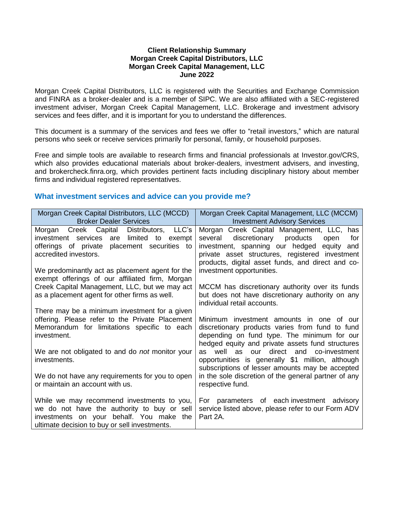#### **Client Relationship Summary Morgan Creek Capital Distributors, LLC Morgan Creek Capital Management, LLC June 2022**

Morgan Creek Capital Distributors, LLC is registered with the Securities and Exchange Commission and FINRA as a broker-dealer and is a member of SIPC. We are also affiliated with a SEC-registered investment adviser, Morgan Creek Capital Management, LLC. Brokerage and investment advisory services and fees differ, and it is important for you to understand the differences.

This document is a summary of the services and fees we offer to "retail investors," which are natural persons who seek or receive services primarily for personal, family, or household purposes.

Free and simple tools are available to research firms and financial professionals at Investor.gov/CRS, which also provides educational materials about broker-dealers, investment advisers, and investing, and brokercheck.finra.org, which provides pertinent facts including disciplinary history about member firms and individual registered representatives.

## **What investment services and advice can you provide me?**

| Morgan Creek Capital Distributors, LLC (MCCD)<br><b>Broker Dealer Services</b>                                                                                                                                                                                          | Morgan Creek Capital Management, LLC (MCCM)<br><b>Investment Advisory Services</b>                                                                                                                                                                                                  |
|-------------------------------------------------------------------------------------------------------------------------------------------------------------------------------------------------------------------------------------------------------------------------|-------------------------------------------------------------------------------------------------------------------------------------------------------------------------------------------------------------------------------------------------------------------------------------|
| LLC's<br>Morgan Creek Capital Distributors,<br>investment services are limited to exempt<br>offerings of private placement securities to<br>accredited investors.<br>We predominantly act as placement agent for the<br>exempt offerings of our affiliated firm, Morgan | Morgan Creek Capital Management, LLC, has<br>several discretionary products<br>open<br>for<br>investment, spanning our hedged<br>equity<br>and<br>private asset structures, registered investment<br>products, digital asset funds, and direct and co-<br>investment opportunities. |
| Creek Capital Management, LLC, but we may act<br>as a placement agent for other firms as well.                                                                                                                                                                          | MCCM has discretionary authority over its funds<br>but does not have discretionary authority on any<br>individual retail accounts.                                                                                                                                                  |
| There may be a minimum investment for a given<br>offering. Please refer to the Private Placement<br>Memorandum for limitations specific to each<br>investment.                                                                                                          | Minimum investment amounts in one of our<br>discretionary products varies from fund to fund<br>depending on fund type. The minimum for our<br>hedged equity and private assets fund structures                                                                                      |
| We are not obligated to and do not monitor your<br>investments.                                                                                                                                                                                                         | well as our direct and co-investment<br>as<br>opportunities is generally \$1 million, although<br>subscriptions of lesser amounts may be accepted                                                                                                                                   |
| We do not have any requirements for you to open<br>or maintain an account with us.                                                                                                                                                                                      | in the sole discretion of the general partner of any<br>respective fund.                                                                                                                                                                                                            |
| While we may recommend investments to you,<br>we do not have the authority to buy or sell<br>investments on your behalf. You make the<br>ultimate decision to buy or sell investments.                                                                                  | For parameters of each investment advisory<br>service listed above, please refer to our Form ADV<br>Part 2A.                                                                                                                                                                        |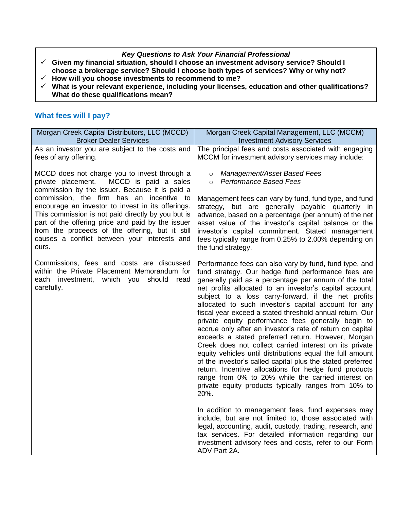## *Key Questions to Ask Your Financial Professional*

- **Given my financial situation, should I choose an investment advisory service? Should I choose a brokerage service? Should I choose both types of services? Why or why not?**
- **How will you choose investments to recommend to me?**
- **What is your relevant experience, including your licenses, education and other qualifications? What do these qualifications mean?**

# **What fees will I pay?**

| Morgan Creek Capital Distributors, LLC (MCCD)                                                                                                                                                                                                                                                                           | Morgan Creek Capital Management, LLC (MCCM)                                                                                                                                                                                                                                                                                                                                                                                                                                                                                                                                                                                                                                                                                                                                                                                                                                                                                                                                                                                                                                                                                                                                                                                                                           |
|-------------------------------------------------------------------------------------------------------------------------------------------------------------------------------------------------------------------------------------------------------------------------------------------------------------------------|-----------------------------------------------------------------------------------------------------------------------------------------------------------------------------------------------------------------------------------------------------------------------------------------------------------------------------------------------------------------------------------------------------------------------------------------------------------------------------------------------------------------------------------------------------------------------------------------------------------------------------------------------------------------------------------------------------------------------------------------------------------------------------------------------------------------------------------------------------------------------------------------------------------------------------------------------------------------------------------------------------------------------------------------------------------------------------------------------------------------------------------------------------------------------------------------------------------------------------------------------------------------------|
| <b>Broker Dealer Services</b>                                                                                                                                                                                                                                                                                           | <b>Investment Advisory Services</b>                                                                                                                                                                                                                                                                                                                                                                                                                                                                                                                                                                                                                                                                                                                                                                                                                                                                                                                                                                                                                                                                                                                                                                                                                                   |
| As an investor you are subject to the costs and                                                                                                                                                                                                                                                                         | The principal fees and costs associated with engaging                                                                                                                                                                                                                                                                                                                                                                                                                                                                                                                                                                                                                                                                                                                                                                                                                                                                                                                                                                                                                                                                                                                                                                                                                 |
| fees of any offering.                                                                                                                                                                                                                                                                                                   | MCCM for investment advisory services may include:                                                                                                                                                                                                                                                                                                                                                                                                                                                                                                                                                                                                                                                                                                                                                                                                                                                                                                                                                                                                                                                                                                                                                                                                                    |
| MCCD does not charge you to invest through a                                                                                                                                                                                                                                                                            | Management/Asset Based Fees                                                                                                                                                                                                                                                                                                                                                                                                                                                                                                                                                                                                                                                                                                                                                                                                                                                                                                                                                                                                                                                                                                                                                                                                                                           |
| MCCD is paid a sales                                                                                                                                                                                                                                                                                                    | $\circ$                                                                                                                                                                                                                                                                                                                                                                                                                                                                                                                                                                                                                                                                                                                                                                                                                                                                                                                                                                                                                                                                                                                                                                                                                                                               |
| private placement.                                                                                                                                                                                                                                                                                                      | <b>Performance Based Fees</b>                                                                                                                                                                                                                                                                                                                                                                                                                                                                                                                                                                                                                                                                                                                                                                                                                                                                                                                                                                                                                                                                                                                                                                                                                                         |
| commission by the issuer. Because it is paid a                                                                                                                                                                                                                                                                          | $\circ$                                                                                                                                                                                                                                                                                                                                                                                                                                                                                                                                                                                                                                                                                                                                                                                                                                                                                                                                                                                                                                                                                                                                                                                                                                                               |
| commission, the firm has an incentive<br>to<br>encourage an investor to invest in its offerings.<br>This commission is not paid directly by you but is<br>part of the offering price and paid by the issuer<br>from the proceeds of the offering, but it still<br>causes a conflict between your interests and<br>ours. | Management fees can vary by fund, fund type, and fund<br>strategy, but are generally payable quarterly in<br>advance, based on a percentage (per annum) of the net<br>asset value of the investor's capital balance or the<br>investor's capital commitment. Stated management<br>fees typically range from 0.25% to 2.00% depending on<br>the fund strategy.                                                                                                                                                                                                                                                                                                                                                                                                                                                                                                                                                                                                                                                                                                                                                                                                                                                                                                         |
| Commissions, fees and costs are discussed<br>within the Private Placement Memorandum for<br>each investment, which you should<br>read<br>carefully.                                                                                                                                                                     | Performance fees can also vary by fund, fund type, and<br>fund strategy. Our hedge fund performance fees are<br>generally paid as a percentage per annum of the total<br>net profits allocated to an investor's capital account,<br>subject to a loss carry-forward, if the net profits<br>allocated to such investor's capital account for any<br>fiscal year exceed a stated threshold annual return. Our<br>private equity performance fees generally begin to<br>accrue only after an investor's rate of return on capital<br>exceeds a stated preferred return. However, Morgan<br>Creek does not collect carried interest on its private<br>equity vehicles until distributions equal the full amount<br>of the investor's called capital plus the stated preferred<br>return. Incentive allocations for hedge fund products<br>range from 0% to 20% while the carried interest on<br>private equity products typically ranges from 10% to<br>20%.<br>In addition to management fees, fund expenses may<br>include, but are not limited to, those associated with<br>legal, accounting, audit, custody, trading, research, and<br>tax services. For detailed information regarding our<br>investment advisory fees and costs, refer to our Form<br>ADV Part 2A. |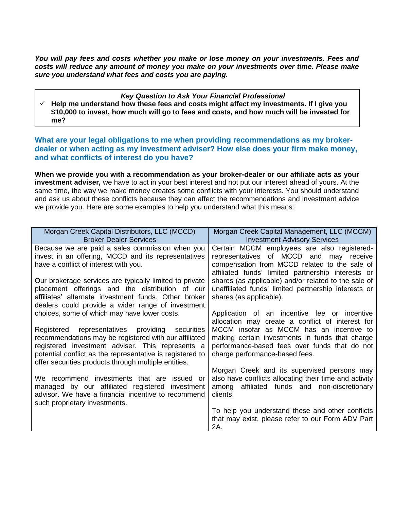*You will pay fees and costs whether you make or lose money on your investments. Fees and costs will reduce any amount of money you make on your investments over time. Please make sure you understand what fees and costs you are paying.*

#### *Key Question to Ask Your Financial Professional*

 $\checkmark$  Help me understand how these fees and costs might affect my investments. If I give you **\$10,000 to invest, how much will go to fees and costs, and how much will be invested for me?** 

**What are your legal obligations to me when providing recommendations as my brokerdealer or when acting as my investment adviser? How else does your firm make money, and what conflicts of interest do you have?**

**When we provide you with a recommendation as your broker-dealer or our affiliate acts as your investment adviser***,* we have to act in your best interest and not put our interest ahead of yours. At the same time, the way we make money creates some conflicts with your interests. You should understand and ask us about these conflicts because they can affect the recommendations and investment advice we provide you. Here are some examples to help you understand what this means:

| Morgan Creek Capital Distributors, LLC (MCCD)             | Morgan Creek Capital Management, LLC (MCCM)            |
|-----------------------------------------------------------|--------------------------------------------------------|
| <b>Broker Dealer Services</b>                             | <b>Investment Advisory Services</b>                    |
| Because we are paid a sales commission when you           | Certain MCCM employees are also registered-            |
| invest in an offering, MCCD and its representatives       | representatives of MCCD and may receive                |
| have a conflict of interest with you.                     | compensation from MCCD related to the sale of          |
|                                                           | affiliated funds' limited partnership interests or     |
| Our brokerage services are typically limited to private   | shares (as applicable) and/or related to the sale of   |
| placement offerings and the distribution of our           | unaffiliated funds' limited partnership interests or   |
| affiliates' alternate investment funds. Other broker      | shares (as applicable).                                |
| dealers could provide a wider range of investment         |                                                        |
| choices, some of which may have lower costs.              | Application of an incentive fee or incentive           |
|                                                           | allocation may create a conflict of interest for       |
| Registered representatives providing securities           | MCCM insofar as MCCM has an incentive to               |
| recommendations may be registered with our affiliated     | making certain investments in funds that charge        |
| registered investment adviser. This represents a          | performance-based fees over funds that do not          |
| potential conflict as the representative is registered to | charge performance-based fees.                         |
| offer securities products through multiple entities.      |                                                        |
|                                                           | Morgan Creek and its supervised persons may            |
| recommend investments that are issued or<br>We.           | also have conflicts allocating their time and activity |
| managed by our affiliated registered investment           | affiliated funds and non-discretionary<br>among        |
| advisor. We have a financial incentive to recommend       | clients.                                               |
| such proprietary investments.                             |                                                        |
|                                                           | To help you understand these and other conflicts       |
|                                                           | that may exist, please refer to our Form ADV Part      |
|                                                           | 2A.                                                    |